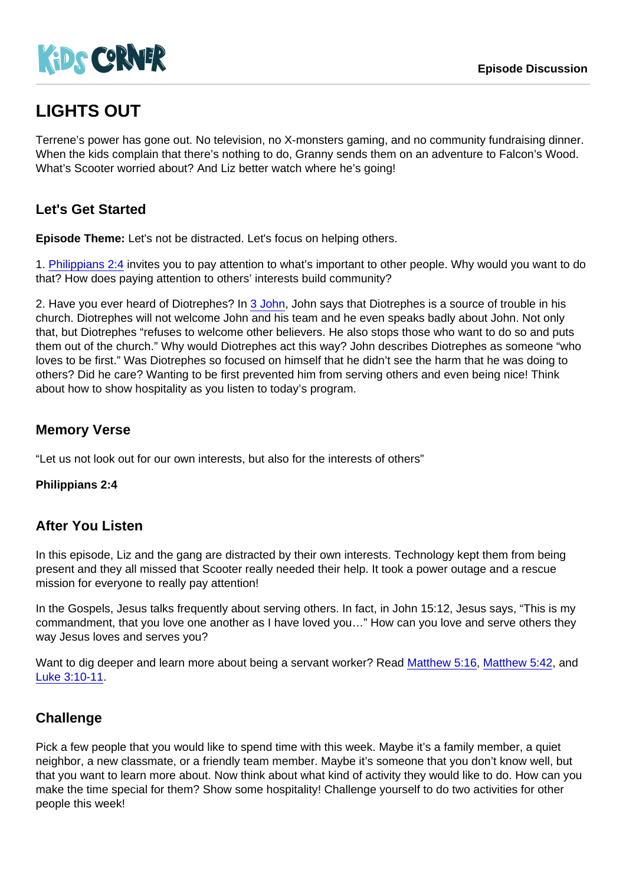# LIGHTS OUT

Terrene's power has gone out. No television, no X-monsters gaming, and no community fundraising dinner. When the kids complain that there's nothing to do, Granny sends them on an adventure to Falcon's Wood. What's Scooter worried about? And Liz better watch where he's going!

## Let's Get Started

Episode Theme: Let's not be distracted. Let's focus on helping others.

1. [Philippians 2:4](https://www.biblegateway.com/passage/?search=Philippians+2:4) invites you to pay attention to what's important to other people. Why would you want to do that? How does paying attention to others' interests build community?

2. Have you ever heard of Diotrephes? In [3 John](https://www.biblegateway.com/passage/?search=3+John), John says that Diotrephes is a source of trouble in his church. Diotrephes will not welcome John and his team and he even speaks badly about John. Not only that, but Diotrephes "refuses to welcome other believers. He also stops those who want to do so and puts them out of the church." Why would Diotrephes act this way? John describes Diotrephes as someone "who loves to be first." Was Diotrephes so focused on himself that he didn't see the harm that he was doing to others? Did he care? Wanting to be first prevented him from serving others and even being nice! Think about how to show hospitality as you listen to today's program.

#### Memory Verse

"Let us not look out for our own interests, but also for the interests of others"

Philippians 2:4

#### After You Listen

In this episode, Liz and the gang are distracted by their own interests. Technology kept them from being present and they all missed that Scooter really needed their help. It took a power outage and a rescue mission for everyone to really pay attention!

In the Gospels, Jesus talks frequently about serving others. In fact, in John 15:12, Jesus says, "This is my commandment, that you love one another as I have loved you…" How can you love and serve others they way Jesus loves and serves you?

Want to dig deeper and learn more about being a servant worker? Read [Matthew 5:16](https://www.biblegateway.com/passage/?search=Matthew+5:16), [Matthew 5:42,](https://www.biblegateway.com/passage/?search=Matthew+5:42) and [Luke 3:10-11](https://www.biblegateway.com/passage/?search=Luke+3:10-11).

#### **Challenge**

Pick a few people that you would like to spend time with this week. Maybe it's a family member, a quiet neighbor, a new classmate, or a friendly team member. Maybe it's someone that you don't know well, but that you want to learn more about. Now think about what kind of activity they would like to do. How can you make the time special for them? Show some hospitality! Challenge yourself to do two activities for other people this week!